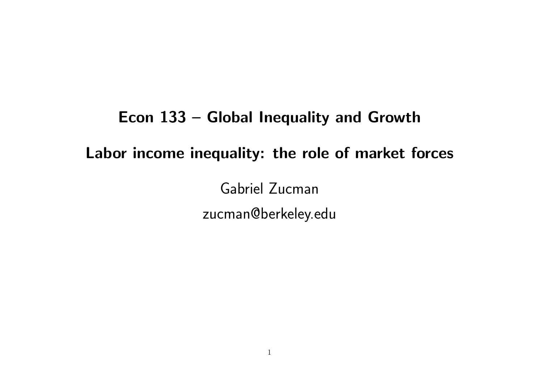# Econ 133 – Global Inequality and Growth

Labor income inequality: the role of market forces

Gabriel Zucman zucman@berkeley.edu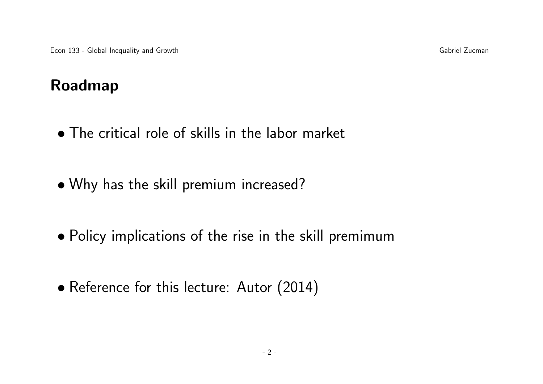#### Roadmap

- The critical role of skills in the labor market
- Why has the skill premium increased?
- Policy implications of the rise in the skill premimum
- Reference for this lecture: Autor (2014)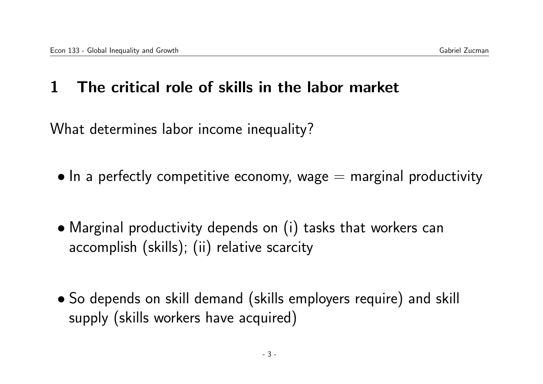### 1 The critical role of skills in the labor market

What determines labor income inequality?

- $\bullet$  In a perfectly competitive economy, wage  $=$  marginal productivity
- Marginal productivity depends on (i) tasks that workers can accomplish (skills); (ii) relative scarcity
- So depends on skill demand (skills employers require) and skill supply (skills workers have acquired)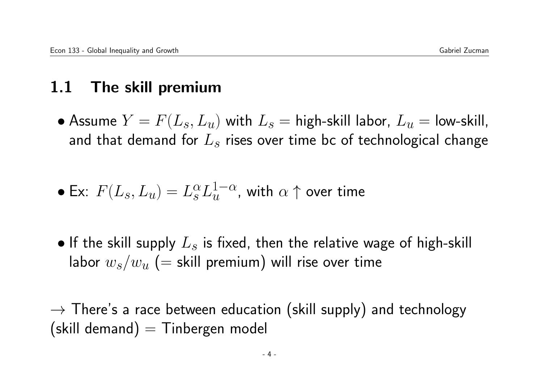#### 1.1 The skill premium

• Assume  $Y = F(L_s, L_u)$  with  $L_s =$  high-skill labor,  $L_u =$  low-skill, and that demand for  $L<sub>s</sub>$  rises over time bc of technological change

• Ex: 
$$
F(L_s, L_u) = L_s^{\alpha} L_u^{1-\alpha}
$$
, with  $\alpha \uparrow$  over time

• If the skill supply  $L_s$  is fixed, then the relative wage of high-skill labor  $w_s/w_u$  (= skill premium) will rise over time

 $\rightarrow$  There's a race between education (skill supply) and technology  $(s$ kill demand) =  $T$ inbergen model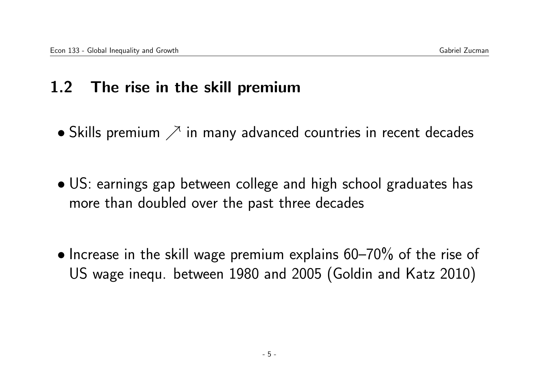#### 1.2 The rise in the skill premium

- Skills premium  $\nearrow$  in many advanced countries in recent decades
- US: earnings gap between college and high school graduates has more than doubled over the past three decades
- Increase in the skill wage premium explains  $60-70\%$  of the rise of US wage inequ. between 1980 and 2005 (Goldin and Katz 2010)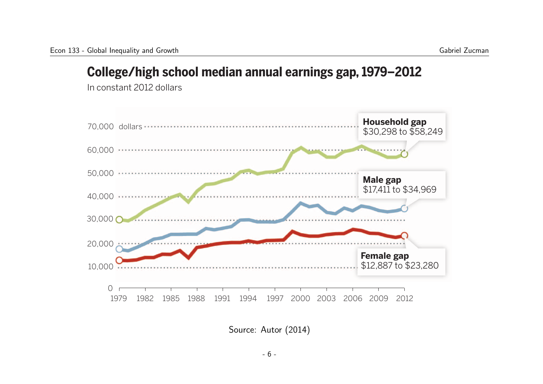#### **College/high school median annual earnings gap, 1979–2012**

In constant 2012 dollars



 $\frac{1}{2}$  . Converse median and  $\frac{1}{2}$ Source: Autor (2014)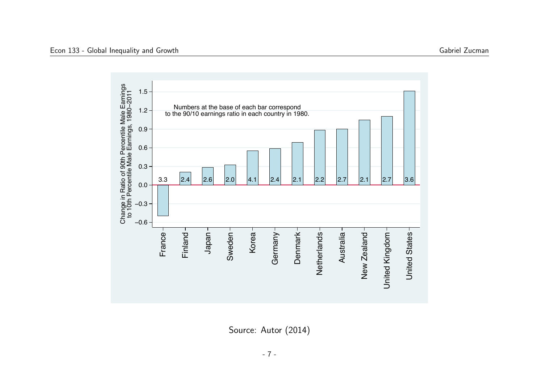Change in Ratio of 90th Percentile Male Earnings<br>to 10th Percentile Male Earnings, 1980-2011 Change in Ratio of 90th Percentile Male Earnings  $1.5$ to 10th Percentile Male Earnings, 1980−2011 Numbers at the base of each bar correspond  $1.2$ to the 90/10 earnings ratio in each country in 1980.  $0.9 -$ 0.6  $0.3 -$ 3.3 2.4 2.6 2.0 4.1 2.4 2.1 2.2 2.7 2.1 2.7 3.6 0.0 −0.3 −0.6 Finland France Japan Korea Sweden Denmark-Netherlands-Australia-New Zealand-United Kingdom-United States-Germany Denmark Netherlands Australia New Zealand United Kingdom United States

Source: Autor (2014)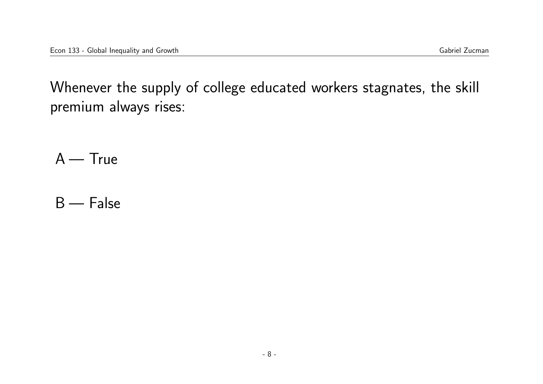Whenever the supply of college educated workers stagnates, the skill premium always rises:

A — True

B — False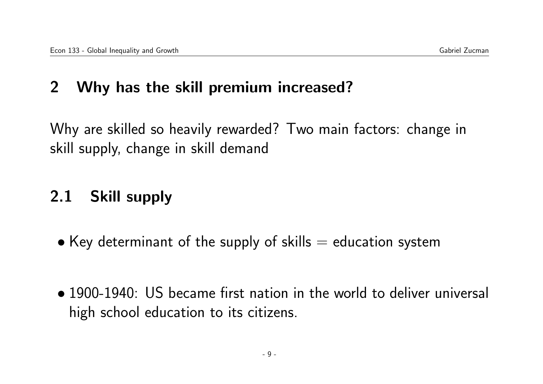#### 2 Why has the skill premium increased?

Why are skilled so heavily rewarded? Two main factors: change in skill supply, change in skill demand

## 2.1 Skill supply

- Key determinant of the supply of skills  $=$  education system
- 1900-1940: US became first nation in the world to deliver universal high school education to its citizens.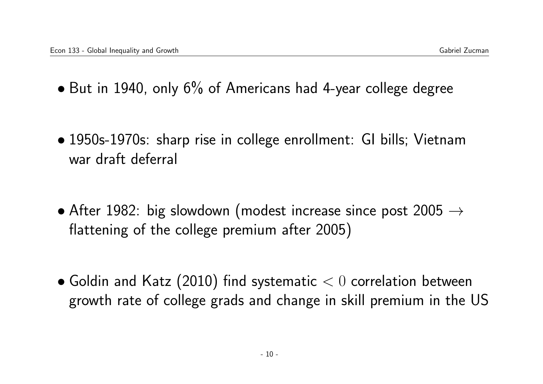- But in 1940, only 6% of Americans had 4-year college degree
- 1950s-1970s: sharp rise in college enrollment: GI bills; Vietnam war draft deferral
- After 1982: big slowdown (modest increase since post 2005  $\rightarrow$ flattening of the college premium after 2005)
- Goldin and Katz (2010) find systematic  $< 0$  correlation between growth rate of college grads and change in skill premium in the US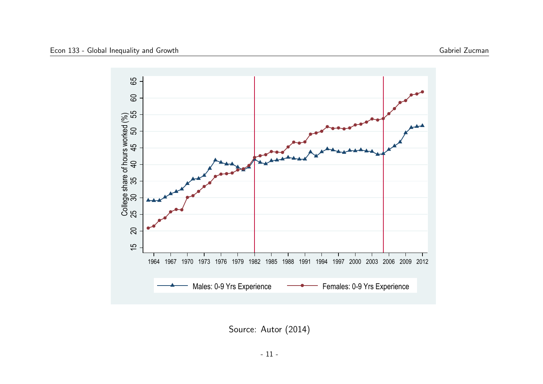

Source: Autor (2014)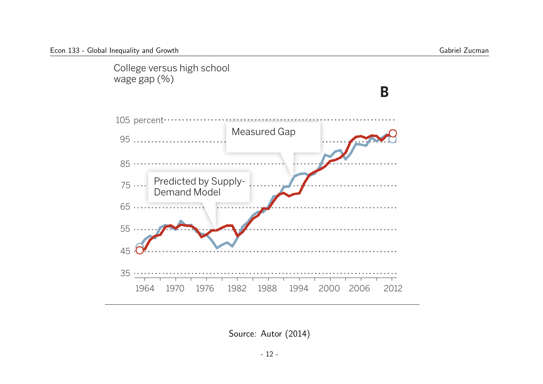

Source: Autor (2014) series labeled "Measured Gap" is constructed by calculating the mean of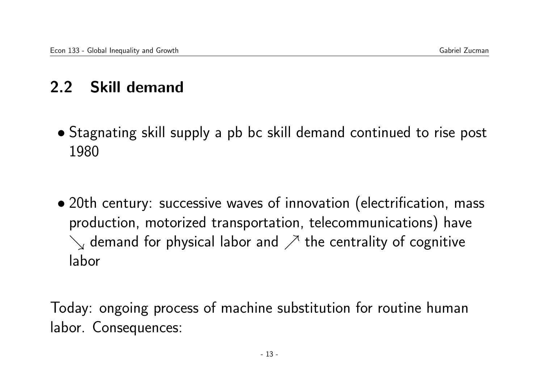### 2.2 Skill demand

- Stagnating skill supply a pb bc skill demand continued to rise post 1980
- 20th century: successive waves of innovation (electrification, mass production, motorized transportation, telecommunications) have  $\searrow$  demand for physical labor and  $\nearrow$  the centrality of cognitive labor

Today: ongoing process of machine substitution for routine human labor. Consequences: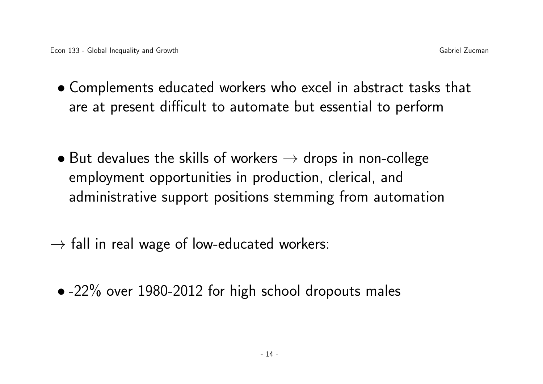- Complements educated workers who excel in abstract tasks that are at present difficult to automate but essential to perform
- But devalues the skills of workers  $\rightarrow$  drops in non-college employment opportunities in production, clerical, and administrative support positions stemming from automation
- $\rightarrow$  fall in real wage of low-educated workers:
	- -22% over 1980-2012 for high school dropouts males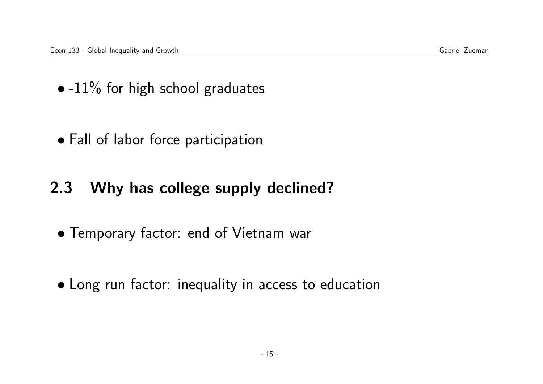- $\bullet$  -11% for high school graduates
- Fall of labor force participation

#### 2.3 Why has college supply declined?

- Temporary factor: end of Vietnam war
- Long run factor: inequality in access to education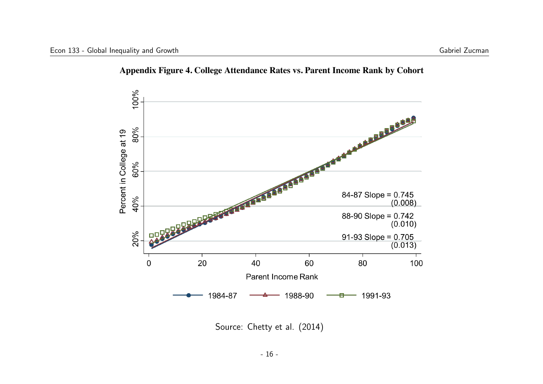

**Appendix Figure 4. College Attendance Rates vs. Parent Income Rank by Cohort**

Source: Chetty et al. (2014)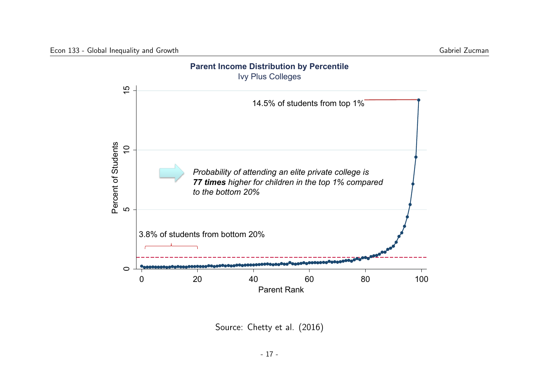

Source: Chetty et al. (2016)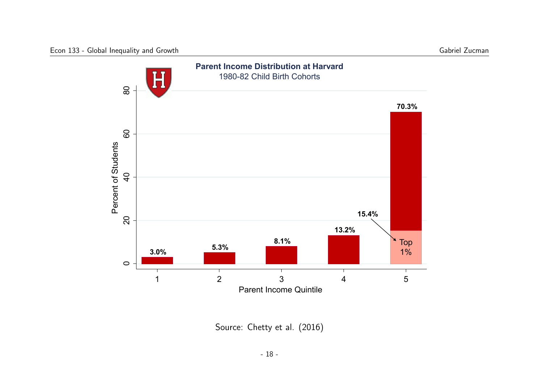

Source: Chetty et al. (2016)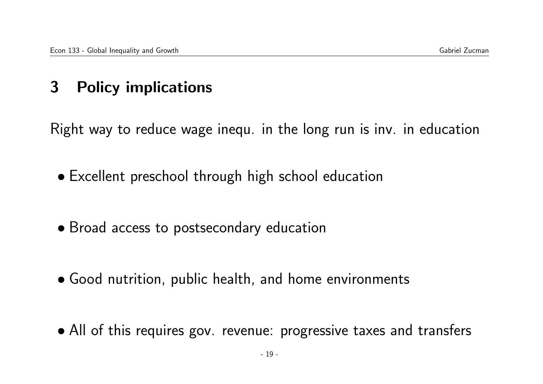### 3 Policy implications

Right way to reduce wage inequ. in the long run is inv. in education

- Excellent preschool through high school education
- Broad access to postsecondary education
- Good nutrition, public health, and home environments
- All of this requires gov. revenue: progressive taxes and transfers